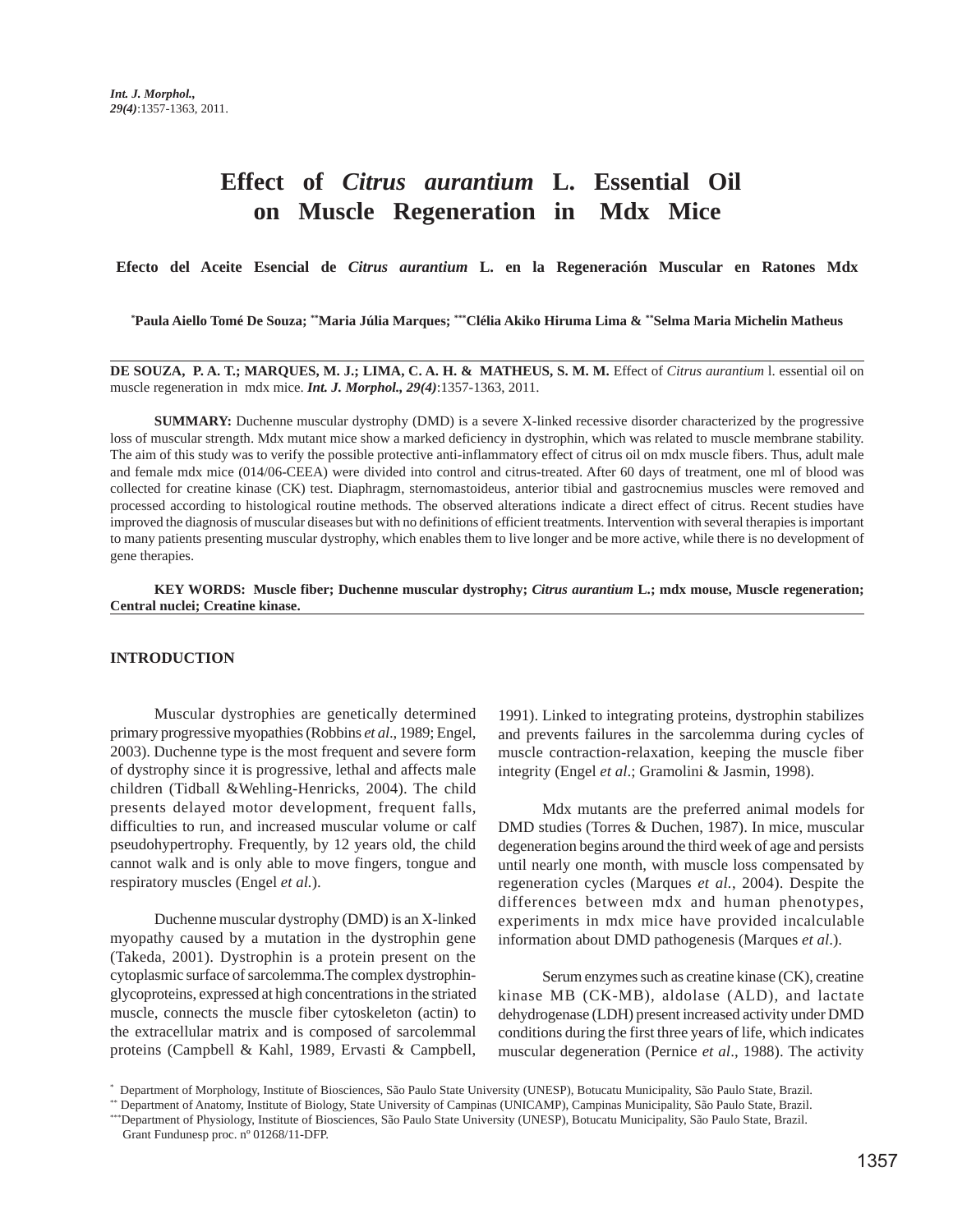# **Effect of** *Citrus aurantium* **L. Essential Oil on Muscle Regeneration in Mdx Mice**

**Efecto del Aceite Esencial de** *Citrus aurantium* **L. en la Regeneración Muscular en Ratones Mdx**

**\* Paula Aiello Tomé De Souza; \*\*Maria Júlia Marques; \*\*\*Clélia Akiko Hiruma Lima & \*\*Selma Maria Michelin Matheus**

**DE SOUZA, P. A. T.; MARQUES, M. J.; LIMA, C. A. H. & MATHEUS, S. M. M.** Effect of *Citrus aurantium* l. essential oil on muscle regeneration in mdx mice. *Int. J. Morphol., 29(4)*:1357-1363, 2011.

**SUMMARY:** Duchenne muscular dystrophy (DMD) is a severe X-linked recessive disorder characterized by the progressive loss of muscular strength. Mdx mutant mice show a marked deficiency in dystrophin, which was related to muscle membrane stability. The aim of this study was to verify the possible protective anti-inflammatory effect of citrus oil on mdx muscle fibers. Thus, adult male and female mdx mice (014/06-CEEA) were divided into control and citrus-treated. After 60 days of treatment, one ml of blood was collected for creatine kinase (CK) test. Diaphragm, sternomastoideus, anterior tibial and gastrocnemius muscles were removed and processed according to histological routine methods. The observed alterations indicate a direct effect of citrus. Recent studies have improved the diagnosis of muscular diseases but with no definitions of efficient treatments. Intervention with several therapies is important to many patients presenting muscular dystrophy, which enables them to live longer and be more active, while there is no development of gene therapies.

**KEY WORDS: Muscle fiber; Duchenne muscular dystrophy;** *Citrus aurantium* **L.; mdx mouse, Muscle regeneration; Central nuclei; Creatine kinase.**

## **INTRODUCTION**

Muscular dystrophies are genetically determined primary progressive myopathies (Robbins *et al*., 1989; Engel, 2003). Duchenne type is the most frequent and severe form of dystrophy since it is progressive, lethal and affects male children (Tidball &Wehling-Henricks, 2004). The child presents delayed motor development, frequent falls, difficulties to run, and increased muscular volume or calf pseudohypertrophy. Frequently, by 12 years old, the child cannot walk and is only able to move fingers, tongue and respiratory muscles (Engel *et al.*).

Duchenne muscular dystrophy (DMD) is an X-linked myopathy caused by a mutation in the dystrophin gene (Takeda, 2001). Dystrophin is a protein present on the cytoplasmic surface of sarcolemma.The complex dystrophinglycoproteins, expressed at high concentrations in the striated muscle, connects the muscle fiber cytoskeleton (actin) to the extracellular matrix and is composed of sarcolemmal proteins (Campbell & Kahl, 1989, Ervasti & Campbell,

1991). Linked to integrating proteins, dystrophin stabilizes and prevents failures in the sarcolemma during cycles of muscle contraction-relaxation, keeping the muscle fiber integrity (Engel *et al*.; Gramolini & Jasmin, 1998).

Mdx mutants are the preferred animal models for DMD studies (Torres & Duchen, 1987). In mice, muscular degeneration begins around the third week of age and persists until nearly one month, with muscle loss compensated by regeneration cycles (Marques *et al.*, 2004). Despite the differences between mdx and human phenotypes, experiments in mdx mice have provided incalculable information about DMD pathogenesis (Marques *et al*.).

Serum enzymes such as creatine kinase (CK), creatine kinase MB (CK-MB), aldolase (ALD), and lactate dehydrogenase (LDH) present increased activity under DMD conditions during the first three years of life, which indicates muscular degeneration (Pernice *et al*., 1988). The activity

<sup>\*</sup> Department of Morphology, Institute of Biosciences, São Paulo State University (UNESP), Botucatu Municipality, São Paulo State, Brazil.

<sup>\*\*</sup> Department of Anatomy, Institute of Biology, State University of Campinas (UNICAMP), Campinas Municipality, São Paulo State, Brazil.

<sup>\*\*\*</sup>Department of Physiology, Institute of Biosciences, São Paulo State University (UNESP), Botucatu Municipality, São Paulo State, Brazil. Grant Fundunesp proc. nº 01268/11-DFP.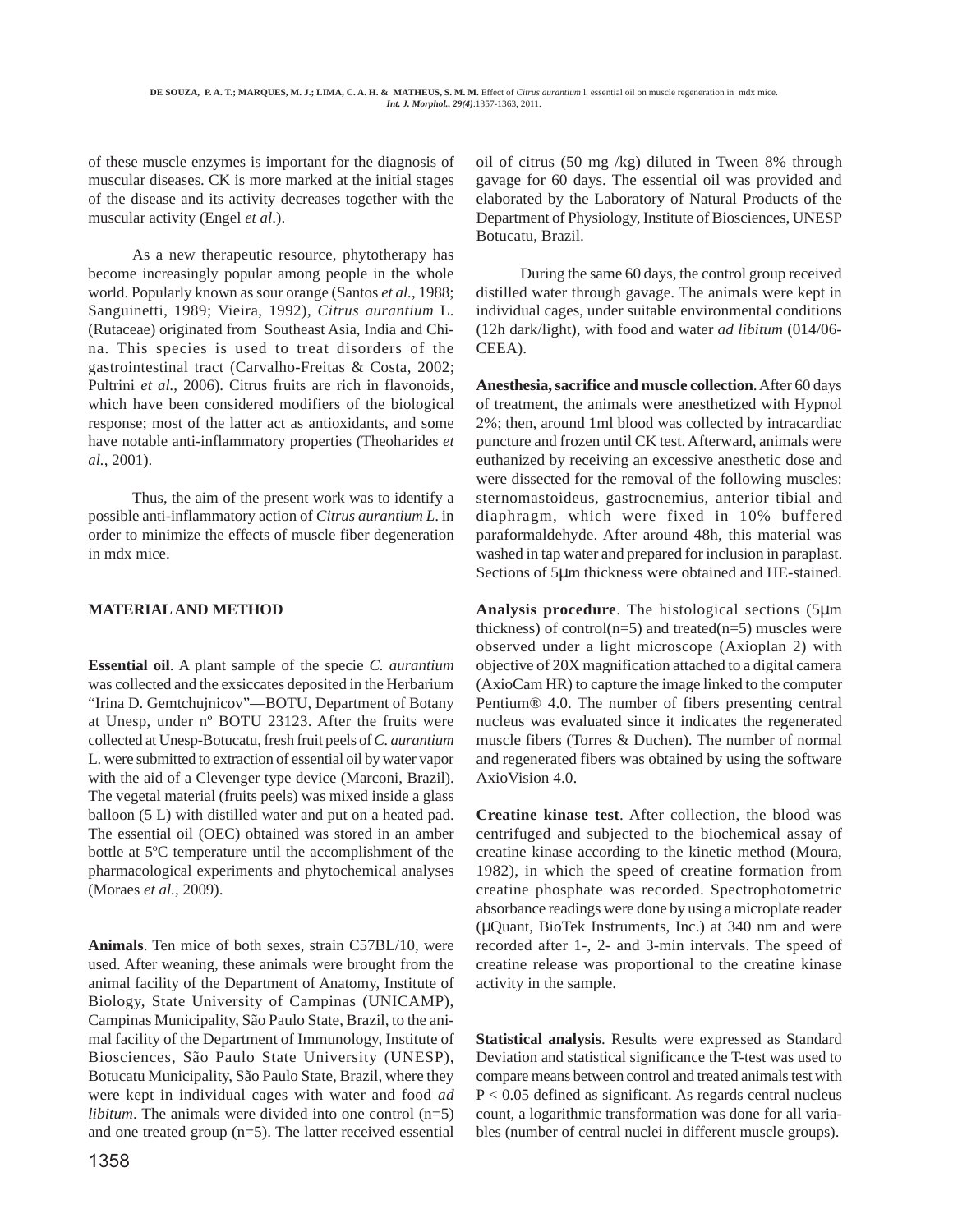of these muscle enzymes is important for the diagnosis of muscular diseases. CK is more marked at the initial stages of the disease and its activity decreases together with the muscular activity (Engel *et al*.).

As a new therapeutic resource, phytotherapy has become increasingly popular among people in the whole world. Popularly known as sour orange (Santos *et al.*, 1988; Sanguinetti, 1989; Vieira, 1992), *Citrus aurantium* L. (Rutaceae) originated from Southeast Asia, India and China. This species is used to treat disorders of the gastrointestinal tract (Carvalho-Freitas & Costa, 2002; Pultrini *et al.*, 2006). Citrus fruits are rich in flavonoids, which have been considered modifiers of the biological response; most of the latter act as antioxidants, and some have notable anti-inflammatory properties (Theoharides *et al.*, 2001).

Thus, the aim of the present work was to identify a possible anti-inflammatory action of *Citrus aurantium L*. in order to minimize the effects of muscle fiber degeneration in mdx mice.

# **MATERIAL AND METHOD**

**Essential oil**. A plant sample of the specie *C. aurantium* was collected and the exsiccates deposited in the Herbarium "Irina D. Gemtchujnicov"—BOTU, Department of Botany at Unesp, under nº BOTU 23123. After the fruits were collected at Unesp-Botucatu, fresh fruit peels of *C. aurantium* L. were submitted to extraction of essential oil by water vapor with the aid of a Clevenger type device (Marconi, Brazil). The vegetal material (fruits peels) was mixed inside a glass balloon (5 L) with distilled water and put on a heated pad. The essential oil (OEC) obtained was stored in an amber bottle at 5ºC temperature until the accomplishment of the pharmacological experiments and phytochemical analyses (Moraes *et al.,* 2009).

**Animals**. Ten mice of both sexes, strain C57BL/10, were used. After weaning, these animals were brought from the animal facility of the Department of Anatomy, Institute of Biology, State University of Campinas (UNICAMP), Campinas Municipality, São Paulo State, Brazil, to the animal facility of the Department of Immunology, Institute of Biosciences, São Paulo State University (UNESP), Botucatu Municipality, São Paulo State, Brazil, where they were kept in individual cages with water and food *ad libitum*. The animals were divided into one control (n=5) and one treated group (n=5). The latter received essential

oil of citrus (50 mg /kg) diluted in Tween 8% through gavage for 60 days. The essential oil was provided and elaborated by the Laboratory of Natural Products of the Department of Physiology, Institute of Biosciences, UNESP Botucatu, Brazil.

During the same 60 days, the control group received distilled water through gavage. The animals were kept in individual cages, under suitable environmental conditions (12h dark/light), with food and water *ad libitum* (014/06- CEEA).

**Anesthesia, sacrifice and muscle collection**. After 60 days of treatment, the animals were anesthetized with Hypnol 2%; then, around 1ml blood was collected by intracardiac puncture and frozen until CK test. Afterward, animals were euthanized by receiving an excessive anesthetic dose and were dissected for the removal of the following muscles: sternomastoideus, gastrocnemius, anterior tibial and diaphragm, which were fixed in 10% buffered paraformaldehyde. After around 48h, this material was washed in tap water and prepared for inclusion in paraplast. Sections of 5µm thickness were obtained and HE-stained.

**Analysis procedure**. The histological sections (5µm thickness) of control( $n=5$ ) and treated( $n=5$ ) muscles were observed under a light microscope (Axioplan 2) with objective of 20X magnification attached to a digital camera (AxioCam HR) to capture the image linked to the computer Pentium® 4.0. The number of fibers presenting central nucleus was evaluated since it indicates the regenerated muscle fibers (Torres & Duchen). The number of normal and regenerated fibers was obtained by using the software AxioVision 4.0.

**Creatine kinase test**. After collection, the blood was centrifuged and subjected to the biochemical assay of creatine kinase according to the kinetic method (Moura, 1982), in which the speed of creatine formation from creatine phosphate was recorded. Spectrophotometric absorbance readings were done by using a microplate reader (µQuant, BioTek Instruments, Inc.) at 340 nm and were recorded after 1-, 2- and 3-min intervals. The speed of creatine release was proportional to the creatine kinase activity in the sample.

**Statistical analysis**. Results were expressed as Standard Deviation and statistical significance the T-test was used to compare means between control and treated animals test with P < 0.05 defined as significant. As regards central nucleus count, a logarithmic transformation was done for all variables (number of central nuclei in different muscle groups).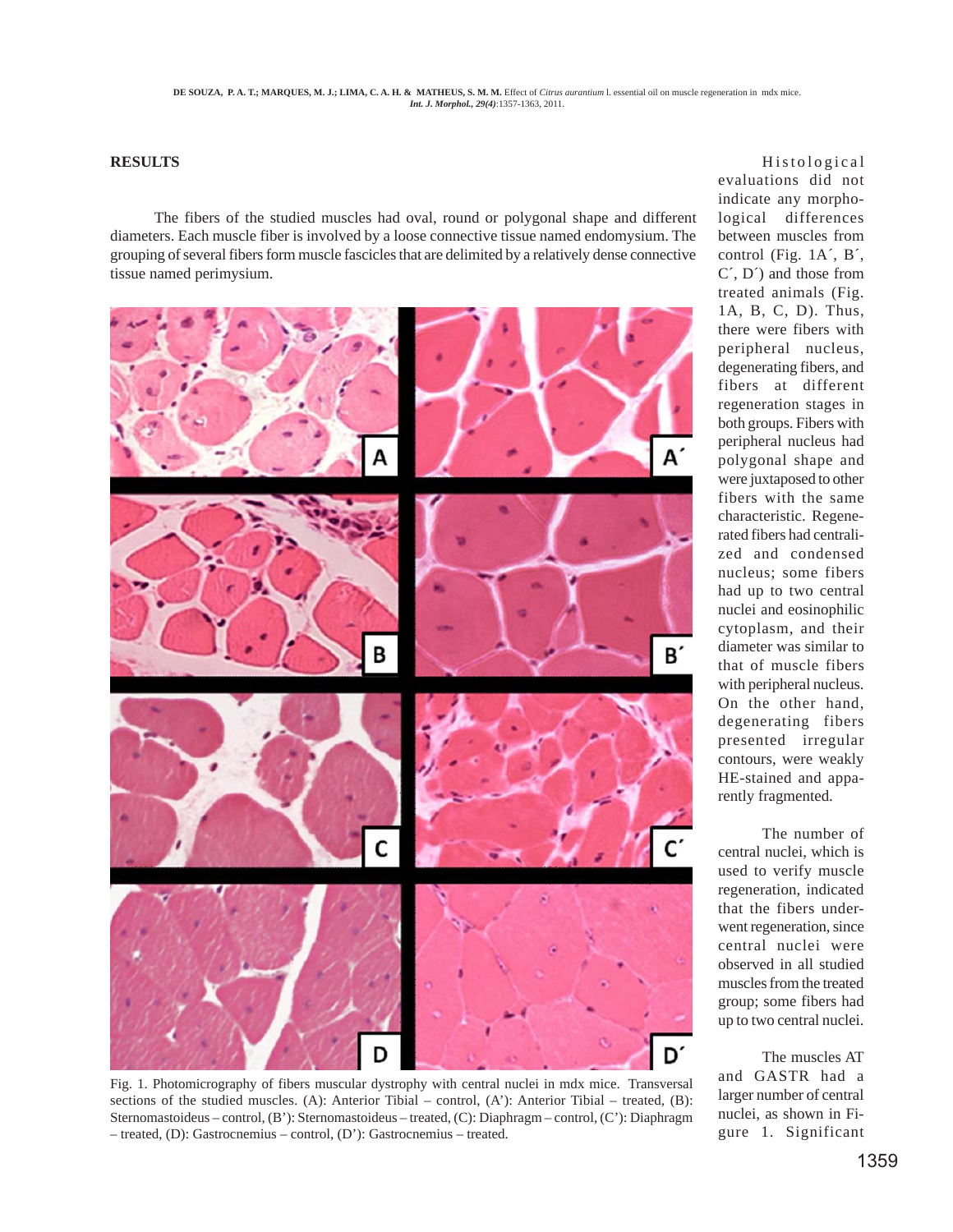## **RESULTS**

The fibers of the studied muscles had oval, round or polygonal shape and different diameters. Each muscle fiber is involved by a loose connective tissue named endomysium. The grouping of several fibers form muscle fascicles that are delimited by a relatively dense connective tissue named perimysium.



Fig. 1. Photomicrography of fibers muscular dystrophy with central nuclei in mdx mice. Transversal sections of the studied muscles. (A): Anterior Tibial – control,  $(A')$ : Anterior Tibial – treated,  $(B)$ : Sternomastoideus – control, (B'): Sternomastoideus – treated, (C): Diaphragm – control, (C'): Diaphragm – treated, (D): Gastrocnemius – control, (D'): Gastrocnemius – treated.

Histological evaluations did not indicate any morphological differences between muscles from control (Fig. 1A´, B´, C´, D´) and those from treated animals (Fig. 1A, B, C, D). Thus, there were fibers with peripheral nucleus, degenerating fibers, and fibers at different regeneration stages in both groups. Fibers with peripheral nucleus had polygonal shape and were juxtaposed to other fibers with the same characteristic. Regenerated fibers had centralized and condensed nucleus; some fibers had up to two central nuclei and eosinophilic cytoplasm, and their diameter was similar to that of muscle fibers with peripheral nucleus. On the other hand, degenerating fibers presented irregular contours, were weakly HE-stained and apparently fragmented.

The number of central nuclei, which is used to verify muscle regeneration, indicated that the fibers underwent regeneration, since central nuclei were observed in all studied muscles from the treated group; some fibers had up to two central nuclei.

The muscles AT and GASTR had a larger number of central nuclei, as shown in Figure 1. Significant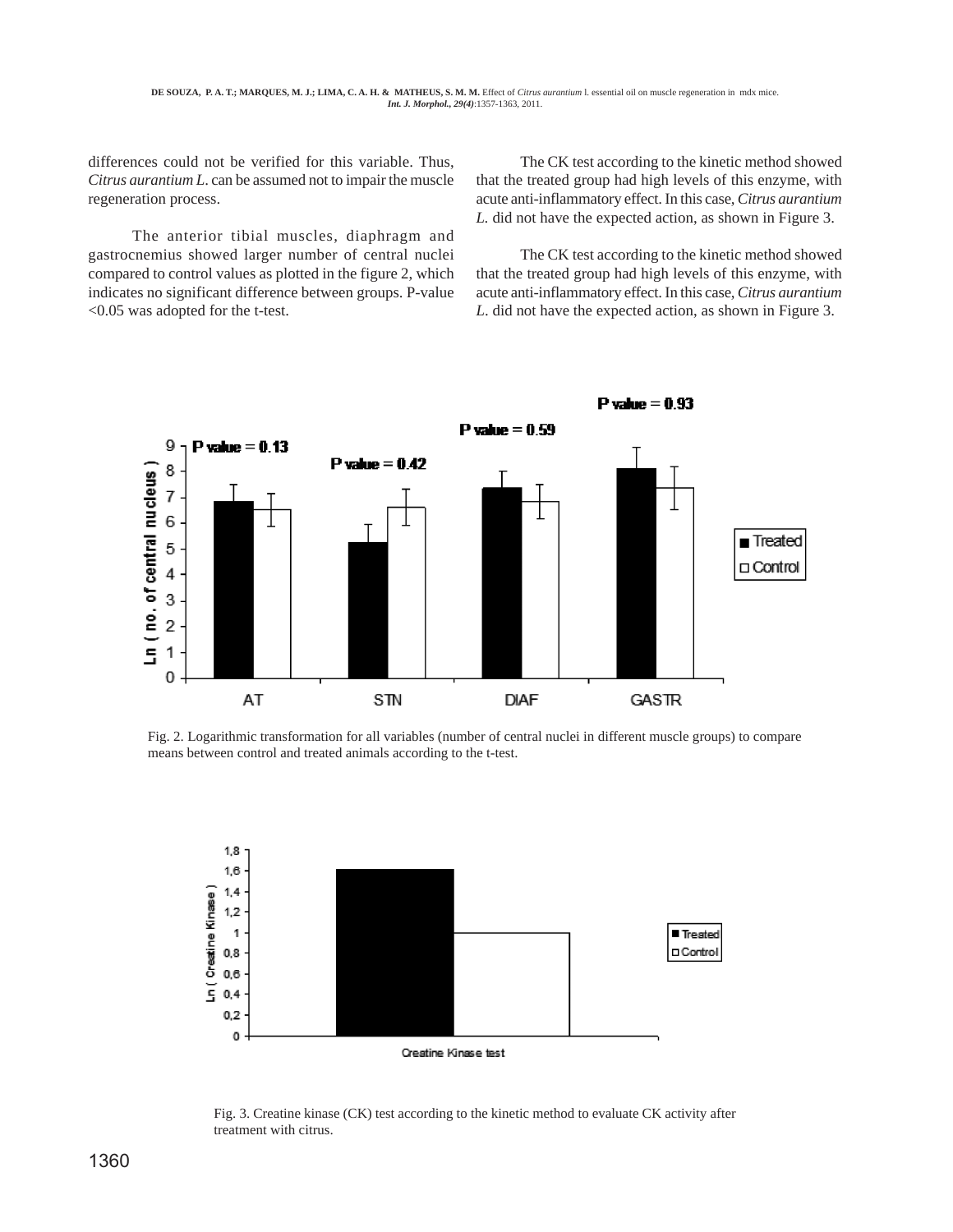differences could not be verified for this variable. Thus, *Citrus aurantium L*. can be assumed not to impair the muscle regeneration process.

The anterior tibial muscles, diaphragm and gastrocnemius showed larger number of central nuclei compared to control values as plotted in the figure 2, which indicates no significant difference between groups. P-value <0.05 was adopted for the t-test.

The CK test according to the kinetic method showed that the treated group had high levels of this enzyme, with acute anti-inflammatory effect. In this case, *Citrus aurantium L.* did not have the expected action, as shown in Figure 3.

The CK test according to the kinetic method showed that the treated group had high levels of this enzyme, with acute anti-inflammatory effect. In this case, *Citrus aurantium L*. did not have the expected action, as shown in Figure 3.



Fig. 2. Logarithmic transformation for all variables (number of central nuclei in different muscle groups) to compare means between control and treated animals according to the t-test.



Fig. 3. Creatine kinase (CK) test according to the kinetic method to evaluate CK activity after treatment with citrus.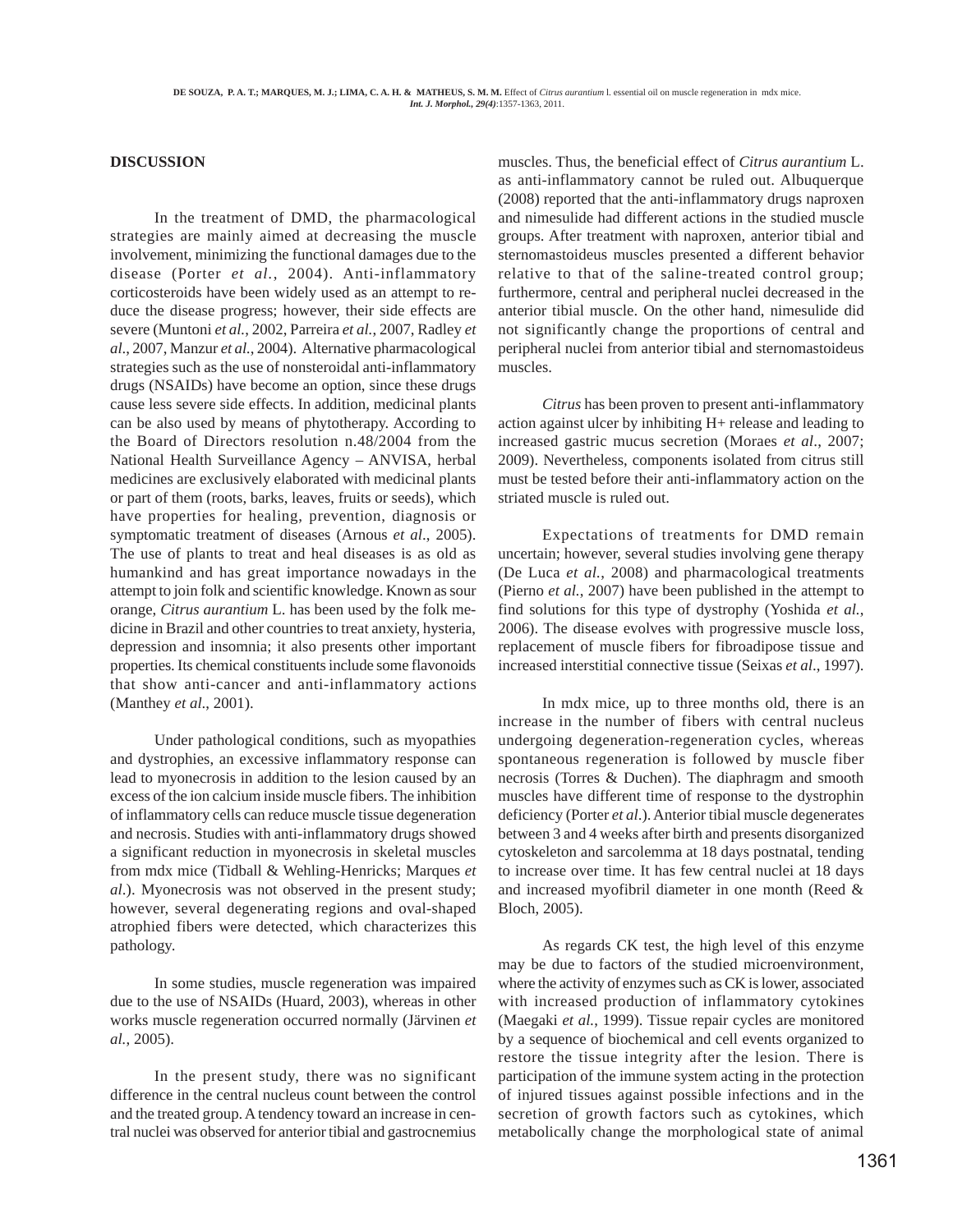### **DISCUSSION**

In the treatment of DMD, the pharmacological strategies are mainly aimed at decreasing the muscle involvement, minimizing the functional damages due to the disease (Porter *et al.*, 2004). Anti-inflammatory corticosteroids have been widely used as an attempt to reduce the disease progress; however, their side effects are severe (Muntoni *et al.*, 2002, Parreira *et al.*, 2007, Radley *et al*., 2007, Manzur *et al.*, 2004). Alternative pharmacological strategies such as the use of nonsteroidal anti-inflammatory drugs (NSAIDs) have become an option, since these drugs cause less severe side effects. In addition, medicinal plants can be also used by means of phytotherapy. According to the Board of Directors resolution n.48/2004 from the National Health Surveillance Agency – ANVISA, herbal medicines are exclusively elaborated with medicinal plants or part of them (roots, barks, leaves, fruits or seeds), which have properties for healing, prevention, diagnosis or symptomatic treatment of diseases (Arnous *et al*., 2005). The use of plants to treat and heal diseases is as old as humankind and has great importance nowadays in the attempt to join folk and scientific knowledge. Known as sour orange, *Citrus aurantium* L. has been used by the folk medicine in Brazil and other countries to treat anxiety, hysteria, depression and insomnia; it also presents other important properties. Its chemical constituents include some flavonoids that show anti-cancer and anti-inflammatory actions (Manthey *et al*., 2001).

Under pathological conditions, such as myopathies and dystrophies, an excessive inflammatory response can lead to myonecrosis in addition to the lesion caused by an excess of the ion calcium inside muscle fibers. The inhibition of inflammatory cells can reduce muscle tissue degeneration and necrosis. Studies with anti-inflammatory drugs showed a significant reduction in myonecrosis in skeletal muscles from mdx mice (Tidball & Wehling-Henricks; Marques *et al*.). Myonecrosis was not observed in the present study; however, several degenerating regions and oval-shaped atrophied fibers were detected, which characterizes this pathology.

In some studies, muscle regeneration was impaired due to the use of NSAIDs (Huard, 2003), whereas in other works muscle regeneration occurred normally (Järvinen *et al.*, 2005).

In the present study, there was no significant difference in the central nucleus count between the control and the treated group. A tendency toward an increase in central nuclei was observed for anterior tibial and gastrocnemius

muscles. Thus, the beneficial effect of *Citrus aurantium* L. as anti-inflammatory cannot be ruled out. Albuquerque (2008) reported that the anti-inflammatory drugs naproxen and nimesulide had different actions in the studied muscle groups. After treatment with naproxen, anterior tibial and sternomastoideus muscles presented a different behavior relative to that of the saline-treated control group; furthermore, central and peripheral nuclei decreased in the anterior tibial muscle. On the other hand, nimesulide did not significantly change the proportions of central and peripheral nuclei from anterior tibial and sternomastoideus muscles.

*Citrus* has been proven to present anti-inflammatory action against ulcer by inhibiting H+ release and leading to increased gastric mucus secretion (Moraes *et al*., 2007; 2009). Nevertheless, components isolated from citrus still must be tested before their anti-inflammatory action on the striated muscle is ruled out.

Expectations of treatments for DMD remain uncertain; however, several studies involving gene therapy (De Luca *et al.*, 2008) and pharmacological treatments (Pierno *et al.*, 2007) have been published in the attempt to find solutions for this type of dystrophy (Yoshida *et al.*, 2006). The disease evolves with progressive muscle loss, replacement of muscle fibers for fibroadipose tissue and increased interstitial connective tissue (Seixas *et al*., 1997).

In mdx mice, up to three months old, there is an increase in the number of fibers with central nucleus undergoing degeneration-regeneration cycles, whereas spontaneous regeneration is followed by muscle fiber necrosis (Torres & Duchen). The diaphragm and smooth muscles have different time of response to the dystrophin deficiency (Porter *et al*.). Anterior tibial muscle degenerates between 3 and 4 weeks after birth and presents disorganized cytoskeleton and sarcolemma at 18 days postnatal, tending to increase over time. It has few central nuclei at 18 days and increased myofibril diameter in one month (Reed & Bloch, 2005).

As regards CK test, the high level of this enzyme may be due to factors of the studied microenvironment, where the activity of enzymes such as CK is lower, associated with increased production of inflammatory cytokines (Maegaki *et al.*, 1999). Tissue repair cycles are monitored by a sequence of biochemical and cell events organized to restore the tissue integrity after the lesion. There is participation of the immune system acting in the protection of injured tissues against possible infections and in the secretion of growth factors such as cytokines, which metabolically change the morphological state of animal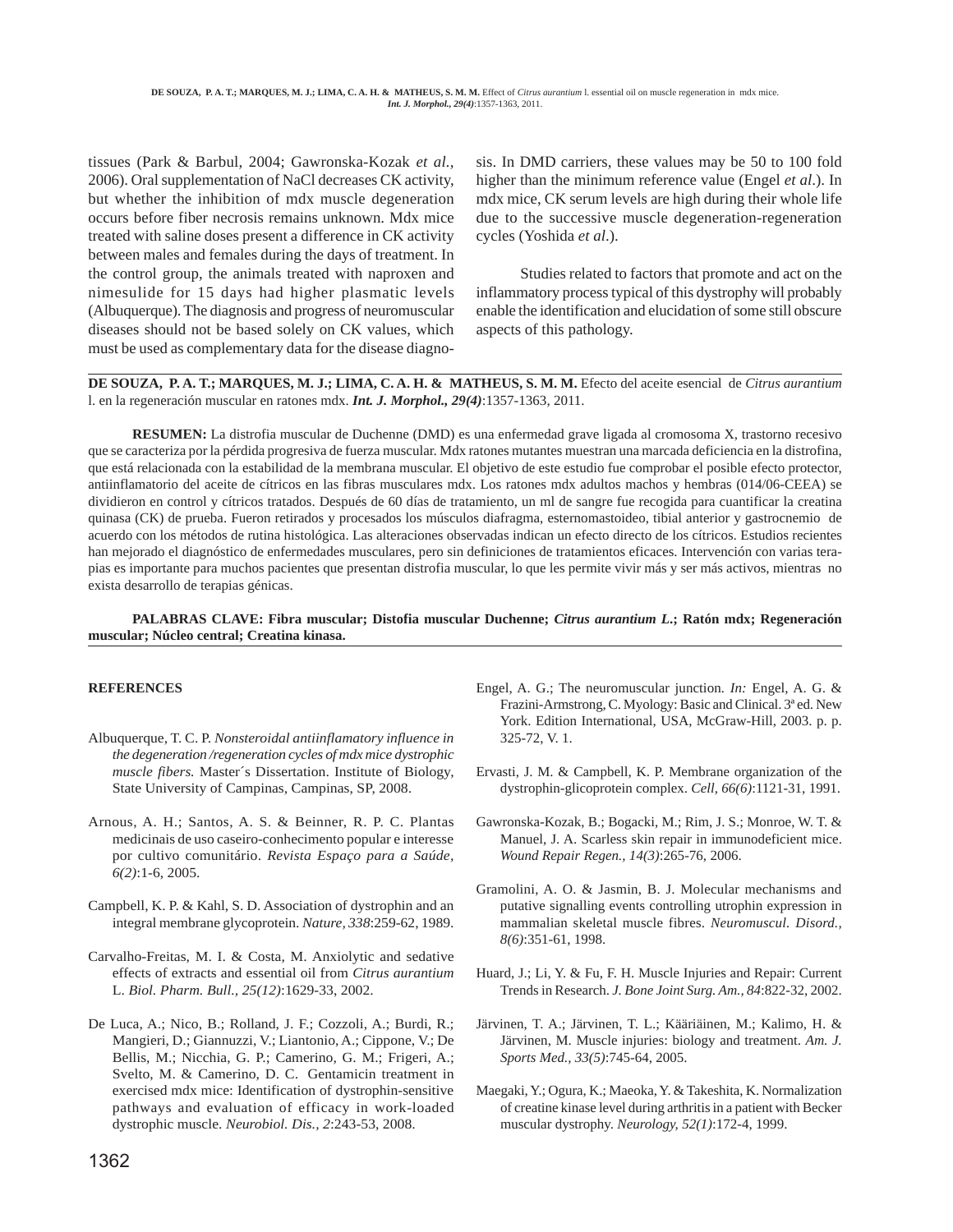tissues (Park & Barbul, 2004; Gawronska-Kozak *et al.,* 2006). Oral supplementation of NaCl decreases CK activity, but whether the inhibition of mdx muscle degeneration occurs before fiber necrosis remains unknown. Mdx mice treated with saline doses present a difference in CK activity between males and females during the days of treatment. In the control group, the animals treated with naproxen and nimesulide for 15 days had higher plasmatic levels (Albuquerque). The diagnosis and progress of neuromuscular diseases should not be based solely on CK values, which must be used as complementary data for the disease diagnosis. In DMD carriers, these values may be 50 to 100 fold higher than the minimum reference value (Engel *et al*.). In mdx mice, CK serum levels are high during their whole life due to the successive muscle degeneration-regeneration cycles (Yoshida *et al*.).

Studies related to factors that promote and act on the inflammatory process typical of this dystrophy will probably enable the identification and elucidation of some still obscure aspects of this pathology.

**DE SOUZA, P. A. T.; MARQUES, M. J.; LIMA, C. A. H. & MATHEUS, S. M. M.** Efecto del aceite esencial de *Citrus aurantium* l. en la regeneración muscular en ratones mdx. *Int. J. Morphol., 29(4)*:1357-1363, 2011.

**RESUMEN:** La distrofia muscular de Duchenne (DMD) es una enfermedad grave ligada al cromosoma X, trastorno recesivo que se caracteriza por la pérdida progresiva de fuerza muscular. Mdx ratones mutantes muestran una marcada deficiencia en la distrofina, que está relacionada con la estabilidad de la membrana muscular. El objetivo de este estudio fue comprobar el posible efecto protector, antiinflamatorio del aceite de cítricos en las fibras musculares mdx. Los ratones mdx adultos machos y hembras (014/06-CEEA) se dividieron en control y cítricos tratados. Después de 60 días de tratamiento, un ml de sangre fue recogida para cuantificar la creatina quinasa (CK) de prueba. Fueron retirados y procesados los músculos diafragma, esternomastoideo, tibial anterior y gastrocnemio de acuerdo con los métodos de rutina histológica. Las alteraciones observadas indican un efecto directo de los cítricos. Estudios recientes han mejorado el diagnóstico de enfermedades musculares, pero sin definiciones de tratamientos eficaces. Intervención con varias terapias es importante para muchos pacientes que presentan distrofia muscular, lo que les permite vivir más y ser más activos, mientras no exista desarrollo de terapias génicas.

#### **PALABRAS CLAVE: Fibra muscular; Distofia muscular Duchenne;** *Citrus aurantium L***.; Ratón mdx; Regeneración muscular; Núcleo central; Creatina kinasa.**

#### **REFERENCES**

- Albuquerque, T. C. P. *Nonsteroidal antiinflamatory influence in the degeneration /regeneration cycles of mdx mice dystrophic muscle fibers.* Master´s Dissertation. Institute of Biology, State University of Campinas, Campinas, SP, 2008.
- Arnous, A. H.; Santos, A. S. & Beinner, R. P. C. Plantas medicinais de uso caseiro-conhecimento popular e interesse por cultivo comunitário. *Revista Espaço para a Saúde, 6(2)*:1-6, 2005.
- Campbell, K. P. & Kahl, S. D. Association of dystrophin and an integral membrane glycoprotein. *Nature, 338*:259-62, 1989.
- Carvalho-Freitas, M. I. & Costa, M. Anxiolytic and sedative effects of extracts and essential oil from *Citrus aurantium* L. *Biol. Pharm. Bull., 25(12)*:1629-33, 2002.
- De Luca, A.; Nico, B.; Rolland, J. F.; Cozzoli, A.; Burdi, R.; Mangieri, D.; Giannuzzi, V.; Liantonio, A.; Cippone, V.; De Bellis, M.; Nicchia, G. P.; Camerino, G. M.; Frigeri, A.; Svelto, M. & Camerino, D. C. Gentamicin treatment in exercised mdx mice: Identification of dystrophin-sensitive pathways and evaluation of efficacy in work-loaded dystrophic muscle. *Neurobiol. Dis., 2*:243-53, 2008.
- Engel, A. G.; The neuromuscular junction*. In:* Engel, A. G. & Frazini-Armstrong, C. Myology: Basic and Clinical. 3ª ed. New York. Edition International, USA, McGraw-Hill, 2003. p. p. 325-72, V. 1.
- Ervasti, J. M. & Campbell, K. P. Membrane organization of the dystrophin-glicoprotein complex. *Cell, 66(6)*:1121-31, 1991.
- Gawronska-Kozak, B.; Bogacki, M.; Rim, J. S.; Monroe, W. T. & Manuel, J. A. Scarless skin repair in immunodeficient mice. *Wound Repair Regen., 14(3)*:265-76, 2006.
- Gramolini, A. O. & Jasmin, B. J. Molecular mechanisms and putative signalling events controlling utrophin expression in mammalian skeletal muscle fibres. *Neuromuscul. Disord., 8(6)*:351-61, 1998.
- Huard, J.; Li, Y. & Fu, F. H. Muscle Injuries and Repair: Current Trends in Research. *J. Bone Joint Surg. Am., 84*:822-32, 2002.
- Järvinen, T. A.; Järvinen, T. L.; Kääriäinen, M.; Kalimo, H. & Järvinen, M. Muscle injuries: biology and treatment. *Am. J. Sports Med., 33(5)*:745-64, 2005.
- Maegaki, Y.; Ogura, K.; Maeoka, Y. & Takeshita, K. Normalization of creatine kinase level during arthritis in a patient with Becker muscular dystrophy. *Neurology, 52(1)*:172-4, 1999.